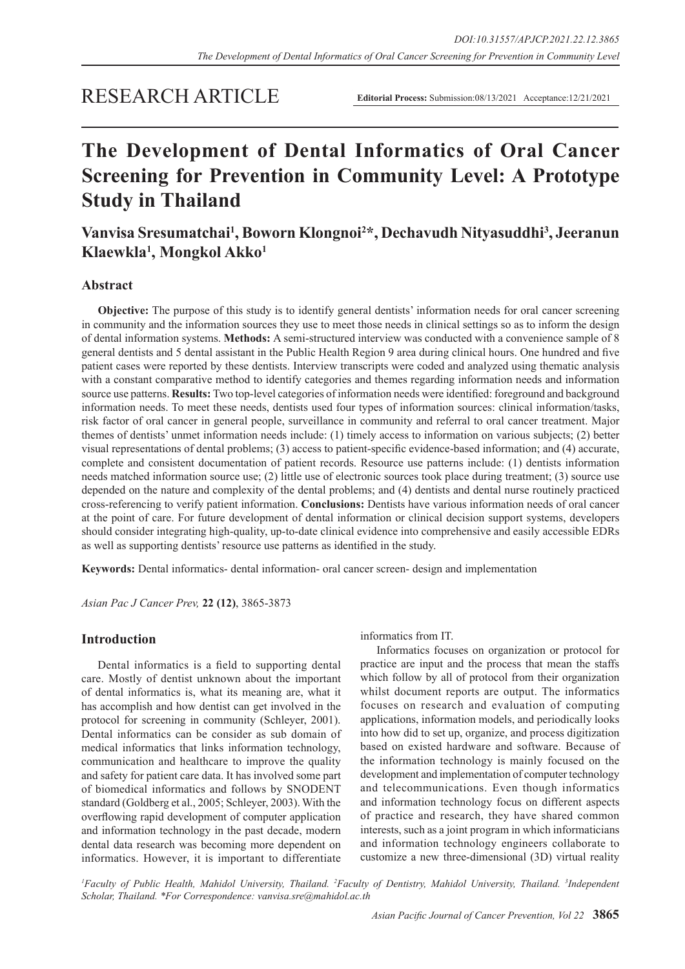# RESEARCH ARTICLE

**Editorial Process:** Submission:08/13/2021 Acceptance:12/21/2021

# **The Development of Dental Informatics of Oral Cancer Screening for Prevention in Community Level: A Prototype Study in Thailand**

# **Vanvisa Sresumatchai1 , Boworn Klongnoi2 \*, Dechavudh Nityasuddhi3 , Jeeranun Klaewkla1 , Mongkol Akko1**

# **Abstract**

**Objective:** The purpose of this study is to identify general dentists' information needs for oral cancer screening in community and the information sources they use to meet those needs in clinical settings so as to inform the design of dental information systems. **Methods:** A semi-structured interview was conducted with a convenience sample of 8 general dentists and 5 dental assistant in the Public Health Region 9 area during clinical hours. One hundred and five patient cases were reported by these dentists. Interview transcripts were coded and analyzed using thematic analysis with a constant comparative method to identify categories and themes regarding information needs and information source use patterns. **Results:** Two top-level categories of information needs were identified: foreground and background information needs. To meet these needs, dentists used four types of information sources: clinical information/tasks, risk factor of oral cancer in general people, surveillance in community and referral to oral cancer treatment. Major themes of dentists' unmet information needs include: (1) timely access to information on various subjects; (2) better visual representations of dental problems; (3) access to patient-specific evidence-based information; and (4) accurate, complete and consistent documentation of patient records. Resource use patterns include: (1) dentists information needs matched information source use; (2) little use of electronic sources took place during treatment; (3) source use depended on the nature and complexity of the dental problems; and (4) dentists and dental nurse routinely practiced cross-referencing to verify patient information. **Conclusions:** Dentists have various information needs of oral cancer at the point of care. For future development of dental information or clinical decision support systems, developers should consider integrating high-quality, up-to-date clinical evidence into comprehensive and easily accessible EDRs as well as supporting dentists' resource use patterns as identified in the study.

**Keywords:** Dental informatics- dental information- oral cancer screen- design and implementation

*Asian Pac J Cancer Prev,* **22 (12)**, 3865-3873

# **Introduction**

Dental informatics is a field to supporting dental care. Mostly of dentist unknown about the important of dental informatics is, what its meaning are, what it has accomplish and how dentist can get involved in the protocol for screening in community (Schleyer, 2001). Dental informatics can be consider as sub domain of medical informatics that links information technology, communication and healthcare to improve the quality and safety for patient care data. It has involved some part of biomedical informatics and follows by SNODENT standard (Goldberg et al., 2005; Schleyer, 2003). With the overflowing rapid development of computer application and information technology in the past decade, modern dental data research was becoming more dependent on informatics. However, it is important to differentiate informatics from IT.

Informatics focuses on organization or protocol for practice are input and the process that mean the staffs which follow by all of protocol from their organization whilst document reports are output. The informatics focuses on research and evaluation of computing applications, information models, and periodically looks into how did to set up, organize, and process digitization based on existed hardware and software. Because of the information technology is mainly focused on the development and implementation of computer technology and telecommunications. Even though informatics and information technology focus on different aspects of practice and research, they have shared common interests, such as a joint program in which informaticians and information technology engineers collaborate to customize a new three-dimensional (3D) virtual reality

<sup>1</sup> Faculty of Public Health, Mahidol University, Thailand. <sup>2</sup> Faculty of Dentistry, Mahidol University, Thailand. <sup>3</sup>Independent *Scholar, Thailand. \*For Correspondence: vanvisa.sre@mahidol.ac.th*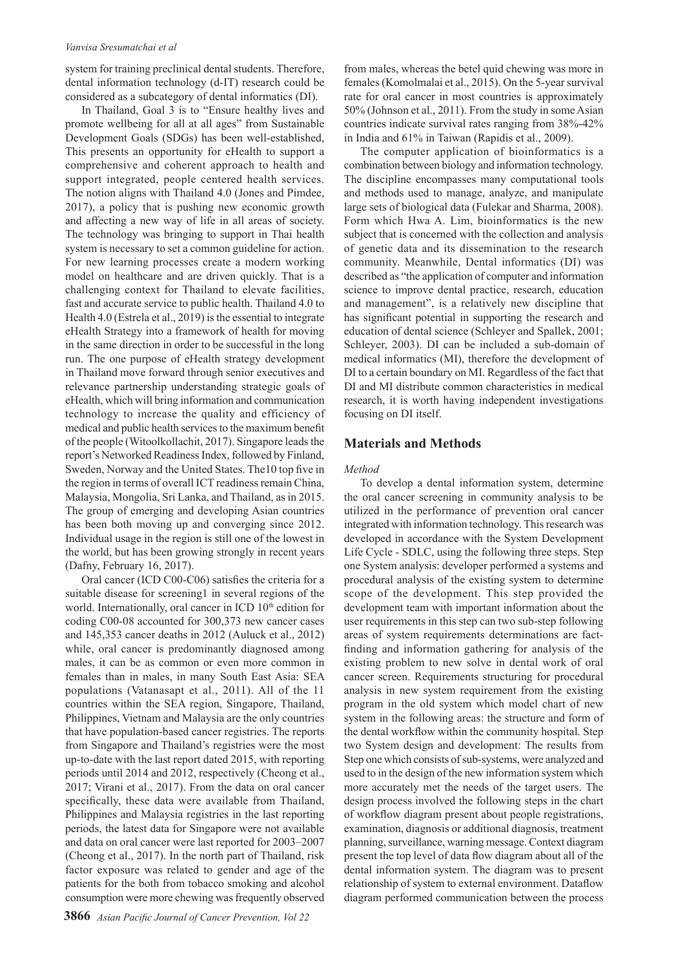#### *Vanvisa Sresumatchai et al*

system for training preclinical dental students. Therefore, dental information technology (d-IT) research could be considered as a subcategory of dental informatics (DI).

In Thailand, Goal 3 is to "Ensure healthy lives and promote wellbeing for all at all ages" from Sustainable Development Goals (SDGs) has been well-established, This presents an opportunity for eHealth to support a comprehensive and coherent approach to health and support integrated, people centered health services. The notion aligns with Thailand 4.0 (Jones and Pimdee, 2017), a policy that is pushing new economic growth and affecting a new way of life in all areas of society. The technology was bringing to support in Thai health system is necessary to set a common guideline for action. For new learning processes create a modern working model on healthcare and are driven quickly. That is a challenging context for Thailand to elevate facilities, fast and accurate service to public health. Thailand 4.0 to Health 4.0 (Estrela et al., 2019) is the essential to integrate eHealth Strategy into a framework of health for moving in the same direction in order to be successful in the long run. The one purpose of eHealth strategy development in Thailand move forward through senior executives and relevance partnership understanding strategic goals of eHealth, which will bring information and communication technology to increase the quality and efficiency of medical and public health services to the maximum benefit of the people (Witoolkollachit, 2017). Singapore leads the report's Networked Readiness Index, followed by Finland, Sweden, Norway and the United States. The10 top five in the region in terms of overall ICT readiness remain China, Malaysia, Mongolia, Sri Lanka, and Thailand, as in 2015. The group of emerging and developing Asian countries has been both moving up and converging since 2012. Individual usage in the region is still one of the lowest in the world, but has been growing strongly in recent years (Dafny, February 16, 2017).

Oral cancer (ICD C00-C06) satisfies the criteria for a suitable disease for screening1 in several regions of the world. Internationally, oral cancer in ICD 10<sup>th</sup> edition for coding C00-08 accounted for 300,373 new cancer cases and 145,353 cancer deaths in 2012 (Auluck et al., 2012) while, oral cancer is predominantly diagnosed among males, it can be as common or even more common in females than in males, in many South East Asia: SEA populations (Vatanasapt et al., 2011). All of the 11 countries within the SEA region, Singapore, Thailand, Philippines, Vietnam and Malaysia are the only countries that have population-based cancer registries. The reports from Singapore and Thailand's registries were the most up-to-date with the last report dated 2015, with reporting periods until 2014 and 2012, respectively (Cheong et al., 2017; Virani et al., 2017). From the data on oral cancer specifically, these data were available from Thailand, Philippines and Malaysia registries in the last reporting periods, the latest data for Singapore were not available and data on oral cancer were last reported for 2003–2007 (Cheong et al., 2017). In the north part of Thailand, risk factor exposure was related to gender and age of the patients for the both from tobacco smoking and alcohol consumption were more chewing was frequently observed

from males, whereas the betel quid chewing was more in females (Komolmalai et al., 2015). On the 5-year survival rate for oral cancer in most countries is approximately 50% (Johnson et al., 2011). From the study in some Asian countries indicate survival rates ranging from 38%-42% in India and 61% in Taiwan (Rapidis et al., 2009).

The computer application of bioinformatics is a combination between biology and information technology. The discipline encompasses many computational tools and methods used to manage, analyze, and manipulate large sets of biological data (Fulekar and Sharma, 2008). Form which Hwa A. Lim, bioinformatics is the new subject that is concerned with the collection and analysis of genetic data and its dissemination to the research community. Meanwhile, Dental informatics (DI) was described as "the application of computer and information science to improve dental practice, research, education and management", is a relatively new discipline that has significant potential in supporting the research and education of dental science (Schleyer and Spallek, 2001; Schleyer, 2003). DI can be included a sub-domain of medical informatics (MI), therefore the development of DI to a certain boundary on MI. Regardless of the fact that DI and MI distribute common characteristics in medical research, it is worth having independent investigations focusing on DI itself.

# **Materials and Methods**

#### *Method*

To develop a dental information system, determine the oral cancer screening in community analysis to be utilized in the performance of prevention oral cancer integrated with information technology. This research was developed in accordance with the System Development Life Cycle - SDLC, using the following three steps. Step one System analysis: developer performed a systems and procedural analysis of the existing system to determine scope of the development. This step provided the development team with important information about the user requirements in this step can two sub-step following areas of system requirements determinations are factfinding and information gathering for analysis of the existing problem to new solve in dental work of oral cancer screen. Requirements structuring for procedural analysis in new system requirement from the existing program in the old system which model chart of new system in the following areas: the structure and form of the dental workflow within the community hospital. Step two System design and development: The results from Step one which consists of sub-systems, were analyzed and used to in the design of the new information system which more accurately met the needs of the target users. The design process involved the following steps in the chart of workflow diagram present about people registrations, examination, diagnosis or additional diagnosis, treatment planning, surveillance, warning message. Context diagram present the top level of data flow diagram about all of the dental information system. The diagram was to present relationship of system to external environment. Dataflow diagram performed communication between the process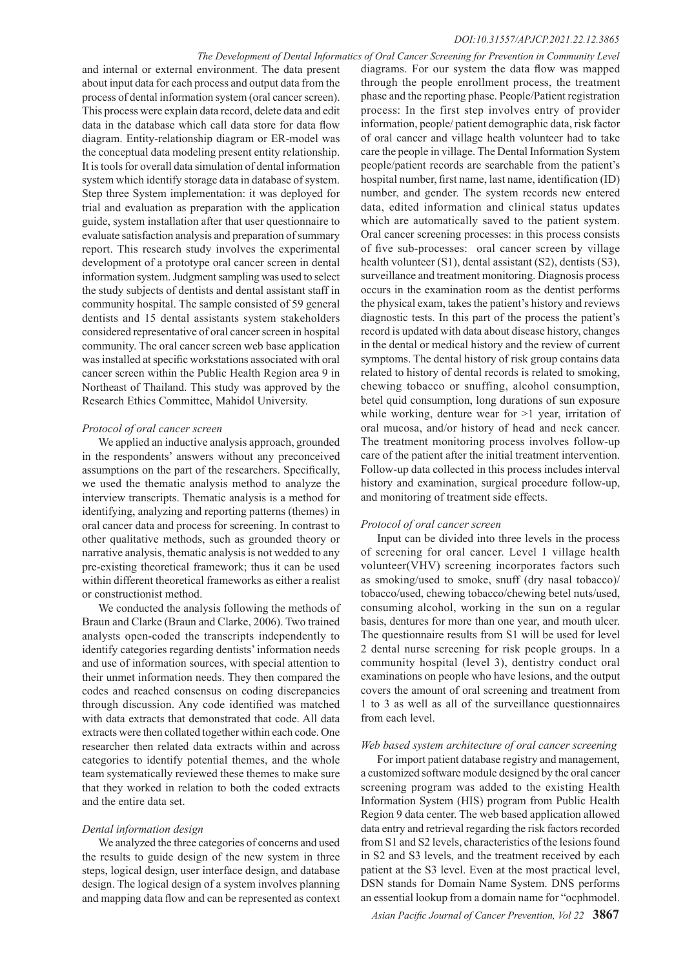#### *DOI:10.31557/APJCP.2021.22.12.3865*

#### *The Development of Dental Informatics of Oral Cancer Screening for Prevention in Community Level*

and internal or external environment. The data present about input data for each process and output data from the process of dental information system (oral cancer screen). This process were explain data record, delete data and edit data in the database which call data store for data flow diagram. Entity-relationship diagram or ER-model was the conceptual data modeling present entity relationship. It is tools for overall data simulation of dental information system which identify storage data in database of system. Step three System implementation: it was deployed for trial and evaluation as preparation with the application guide, system installation after that user questionnaire to evaluate satisfaction analysis and preparation of summary report. This research study involves the experimental development of a prototype oral cancer screen in dental information system. Judgment sampling was used to select the study subjects of dentists and dental assistant staff in community hospital. The sample consisted of 59 general dentists and 15 dental assistants system stakeholders considered representative of oral cancer screen in hospital community. The oral cancer screen web base application was installed at specific workstations associated with oral cancer screen within the Public Health Region area 9 in Northeast of Thailand. This study was approved by the Research Ethics Committee, Mahidol University.

#### *Protocol of oral cancer screen*

We applied an inductive analysis approach, grounded in the respondents' answers without any preconceived assumptions on the part of the researchers. Specifically, we used the thematic analysis method to analyze the interview transcripts. Thematic analysis is a method for identifying, analyzing and reporting patterns (themes) in oral cancer data and process for screening. In contrast to other qualitative methods, such as grounded theory or narrative analysis, thematic analysis is not wedded to any pre-existing theoretical framework; thus it can be used within different theoretical frameworks as either a realist or constructionist method.

We conducted the analysis following the methods of Braun and Clarke (Braun and Clarke, 2006). Two trained analysts open-coded the transcripts independently to identify categories regarding dentists' information needs and use of information sources, with special attention to their unmet information needs. They then compared the codes and reached consensus on coding discrepancies through discussion. Any code identified was matched with data extracts that demonstrated that code. All data extracts were then collated together within each code. One researcher then related data extracts within and across categories to identify potential themes, and the whole team systematically reviewed these themes to make sure that they worked in relation to both the coded extracts and the entire data set.

#### *Dental information design*

We analyzed the three categories of concerns and used the results to guide design of the new system in three steps, logical design, user interface design, and database design. The logical design of a system involves planning and mapping data flow and can be represented as context diagrams. For our system the data flow was mapped through the people enrollment process, the treatment phase and the reporting phase. People/Patient registration process: In the first step involves entry of provider information, people/ patient demographic data, risk factor of oral cancer and village health volunteer had to take care the people in village. The Dental Information System people/patient records are searchable from the patient's hospital number, first name, last name, identification (ID) number, and gender. The system records new entered data, edited information and clinical status updates which are automatically saved to the patient system. Oral cancer screening processes: in this process consists of five sub-processes: oral cancer screen by village health volunteer (S1), dental assistant (S2), dentists (S3), surveillance and treatment monitoring. Diagnosis process occurs in the examination room as the dentist performs the physical exam, takes the patient's history and reviews diagnostic tests. In this part of the process the patient's record is updated with data about disease history, changes in the dental or medical history and the review of current symptoms. The dental history of risk group contains data related to history of dental records is related to smoking, chewing tobacco or snuffing, alcohol consumption, betel quid consumption, long durations of sun exposure while working, denture wear for  $>1$  year, irritation of oral mucosa, and/or history of head and neck cancer. The treatment monitoring process involves follow-up care of the patient after the initial treatment intervention. Follow-up data collected in this process includes interval history and examination, surgical procedure follow-up, and monitoring of treatment side effects.

#### *Protocol of oral cancer screen*

Input can be divided into three levels in the process of screening for oral cancer. Level 1 village health volunteer(VHV) screening incorporates factors such as smoking/used to smoke, snuff (dry nasal tobacco)/ tobacco/used, chewing tobacco/chewing betel nuts/used, consuming alcohol, working in the sun on a regular basis, dentures for more than one year, and mouth ulcer. The questionnaire results from S1 will be used for level 2 dental nurse screening for risk people groups. In a community hospital (level 3), dentistry conduct oral examinations on people who have lesions, and the output covers the amount of oral screening and treatment from 1 to 3 as well as all of the surveillance questionnaires from each level.

#### *Web based system architecture of oral cancer screening*

For import patient database registry and management, a customized software module designed by the oral cancer screening program was added to the existing Health Information System (HIS) program from Public Health Region 9 data center. The web based application allowed data entry and retrieval regarding the risk factors recorded from S1 and S2 levels, characteristics of the lesions found in S2 and S3 levels, and the treatment received by each patient at the S3 level. Even at the most practical level, DSN stands for Domain Name System. DNS performs an essential lookup from a domain name for "ocphmodel.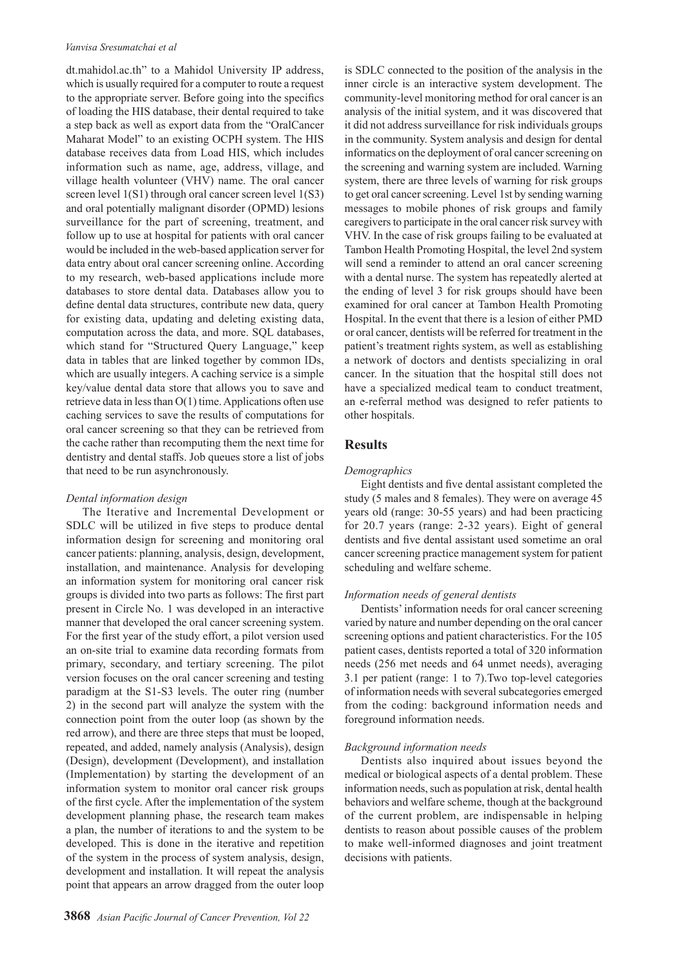#### *Vanvisa Sresumatchai et al*

dt.mahidol.ac.th" to a Mahidol University IP address, which is usually required for a computer to route a request to the appropriate server. Before going into the specifics of loading the HIS database, their dental required to take a step back as well as export data from the "OralCancer Maharat Model" to an existing OCPH system. The HIS database receives data from Load HIS, which includes information such as name, age, address, village, and village health volunteer (VHV) name. The oral cancer screen level 1(S1) through oral cancer screen level 1(S3) and oral potentially malignant disorder (OPMD) lesions surveillance for the part of screening, treatment, and follow up to use at hospital for patients with oral cancer would be included in the web-based application server for data entry about oral cancer screening online. According to my research, web-based applications include more databases to store dental data. Databases allow you to define dental data structures, contribute new data, query for existing data, updating and deleting existing data, computation across the data, and more. SQL databases, which stand for "Structured Query Language," keep data in tables that are linked together by common IDs, which are usually integers. A caching service is a simple key/value dental data store that allows you to save and retrieve data in less than O(1) time. Applications often use caching services to save the results of computations for oral cancer screening so that they can be retrieved from the cache rather than recomputing them the next time for dentistry and dental staffs. Job queues store a list of jobs that need to be run asynchronously.

# *Dental information design*

The Iterative and Incremental Development or SDLC will be utilized in five steps to produce dental information design for screening and monitoring oral cancer patients: planning, analysis, design, development, installation, and maintenance. Analysis for developing an information system for monitoring oral cancer risk groups is divided into two parts as follows: The first part present in Circle No. 1 was developed in an interactive manner that developed the oral cancer screening system. For the first year of the study effort, a pilot version used an on-site trial to examine data recording formats from primary, secondary, and tertiary screening. The pilot version focuses on the oral cancer screening and testing paradigm at the S1-S3 levels. The outer ring (number 2) in the second part will analyze the system with the connection point from the outer loop (as shown by the red arrow), and there are three steps that must be looped, repeated, and added, namely analysis (Analysis), design (Design), development (Development), and installation (Implementation) by starting the development of an information system to monitor oral cancer risk groups of the first cycle. After the implementation of the system development planning phase, the research team makes a plan, the number of iterations to and the system to be developed. This is done in the iterative and repetition of the system in the process of system analysis, design, development and installation. It will repeat the analysis point that appears an arrow dragged from the outer loop

**3868** *Asian Pacific Journal of Cancer Prevention, Vol 22*

is SDLC connected to the position of the analysis in the inner circle is an interactive system development. The community-level monitoring method for oral cancer is an analysis of the initial system, and it was discovered that it did not address surveillance for risk individuals groups in the community. System analysis and design for dental informatics on the deployment of oral cancer screening on the screening and warning system are included. Warning system, there are three levels of warning for risk groups to get oral cancer screening. Level 1st by sending warning messages to mobile phones of risk groups and family caregivers to participate in the oral cancer risk survey with VHV. In the case of risk groups failing to be evaluated at Tambon Health Promoting Hospital, the level 2nd system will send a reminder to attend an oral cancer screening with a dental nurse. The system has repeatedly alerted at the ending of level 3 for risk groups should have been examined for oral cancer at Tambon Health Promoting Hospital. In the event that there is a lesion of either PMD or oral cancer, dentists will be referred for treatment in the patient's treatment rights system, as well as establishing a network of doctors and dentists specializing in oral cancer. In the situation that the hospital still does not have a specialized medical team to conduct treatment, an e-referral method was designed to refer patients to other hospitals.

# **Results**

#### *Demographics*

Eight dentists and five dental assistant completed the study (5 males and 8 females). They were on average 45 years old (range: 30-55 years) and had been practicing for 20.7 years (range: 2-32 years). Eight of general dentists and five dental assistant used sometime an oral cancer screening practice management system for patient scheduling and welfare scheme.

# *Information needs of general dentists*

Dentists' information needs for oral cancer screening varied by nature and number depending on the oral cancer screening options and patient characteristics. For the 105 patient cases, dentists reported a total of 320 information needs (256 met needs and 64 unmet needs), averaging 3.1 per patient (range: 1 to 7).Two top-level categories of information needs with several subcategories emerged from the coding: background information needs and foreground information needs.

#### *Background information needs*

Dentists also inquired about issues beyond the medical or biological aspects of a dental problem. These information needs, such as population at risk, dental health behaviors and welfare scheme, though at the background of the current problem, are indispensable in helping dentists to reason about possible causes of the problem to make well-informed diagnoses and joint treatment decisions with patients.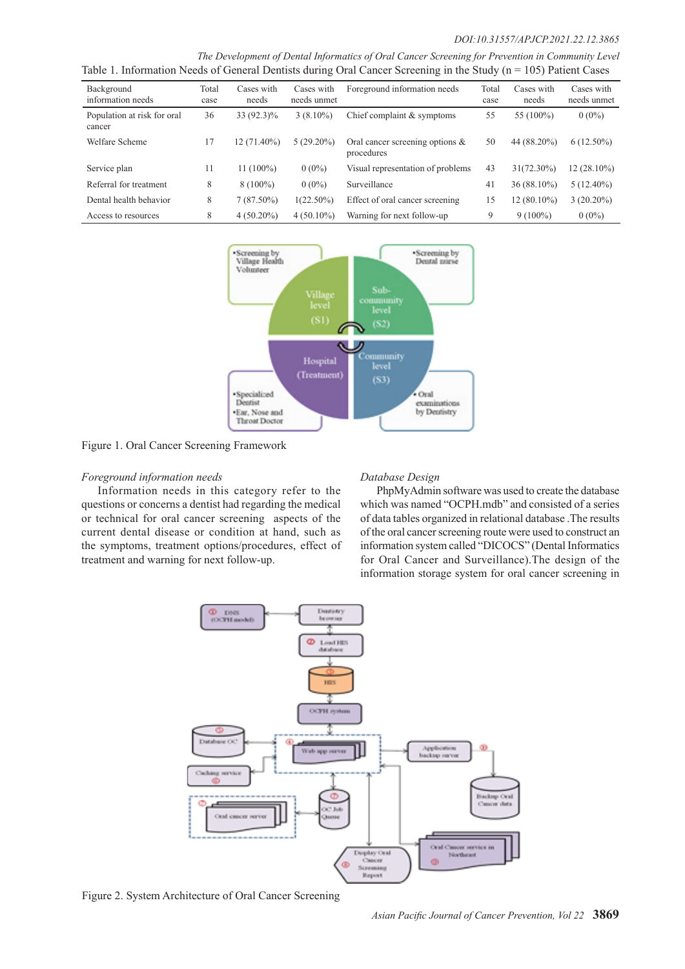#### *DOI:10.31557/APJCP.2021.22.12.3865*

*The Development of Dental Informatics of Oral Cancer Screening for Prevention in Community Level* Table 1. Information Needs of General Dentists during Oral Cancer Screening in the Study ( $n = 105$ ) Patient Cases

| where it intermanent for an $\sigma$ of the case of manual warming $\sigma$ and $\sigma$ are $\sigma$ and $\sigma$ and $\sigma$<br>$100 \mu$ and $200 \mu$ |               |                     |                           |                                                  |               |                     |                           |  |  |
|------------------------------------------------------------------------------------------------------------------------------------------------------------|---------------|---------------------|---------------------------|--------------------------------------------------|---------------|---------------------|---------------------------|--|--|
| Background<br>information needs                                                                                                                            | Total<br>case | Cases with<br>needs | Cases with<br>needs unmet | Foreground information needs                     | Total<br>case | Cases with<br>needs | Cases with<br>needs unmet |  |  |
| Population at risk for oral<br>cancer                                                                                                                      | 36            | 33 (92.3)%          | $3(8.10\%)$               | Chief complaint & symptoms                       | 55            | 55 (100%)           | $0(0\%)$                  |  |  |
| Welfare Scheme                                                                                                                                             | 17            | 12 (71.40%)         | $5(29.20\%)$              | Oral cancer screening options $\&$<br>procedures | 50            | 44 (88.20%)         | $6(12.50\%)$              |  |  |
| Service plan                                                                                                                                               | 11            | $11(100\%)$         | $0(0\%)$                  | Visual representation of problems                | 43            | $31(72.30\%)$       | $12(28.10\%)$             |  |  |
| Referral for treatment                                                                                                                                     | 8             | $8(100\%)$          | $0(0\%)$                  | Surveillance                                     | 41            | 36 (88.10%)         | $5(12.40\%)$              |  |  |
| Dental health behavior                                                                                                                                     | 8             | $7(87.50\%)$        | $1(22.50\%)$              | Effect of oral cancer screening                  | 15            | $12(80.10\%)$       | $3(20.20\%)$              |  |  |
| Access to resources                                                                                                                                        | 8             | $4(50.20\%)$        | $4(50.10\%)$              | Warning for next follow-up                       | 9             | $9(100\%)$          | $0(0\%)$                  |  |  |



Figure 1. Oral Cancer Screening Framework

#### *Foreground information needs*

Information needs in this category refer to the questions or concerns a dentist had regarding the medical or technical for oral cancer screening aspects of the current dental disease or condition at hand, such as the symptoms, treatment options/procedures, effect of treatment and warning for next follow-up.

#### *Database Design*

PhpMyAdmin software was used to create the database which was named "OCPH.mdb" and consisted of a series of data tables organized in relational database .The results of the oral cancer screening route were used to construct an information system called "DICOCS" (Dental Informatics for Oral Cancer and Surveillance).The design of the information storage system for oral cancer screening in



Figure 2. System Architecture of Oral Cancer Screening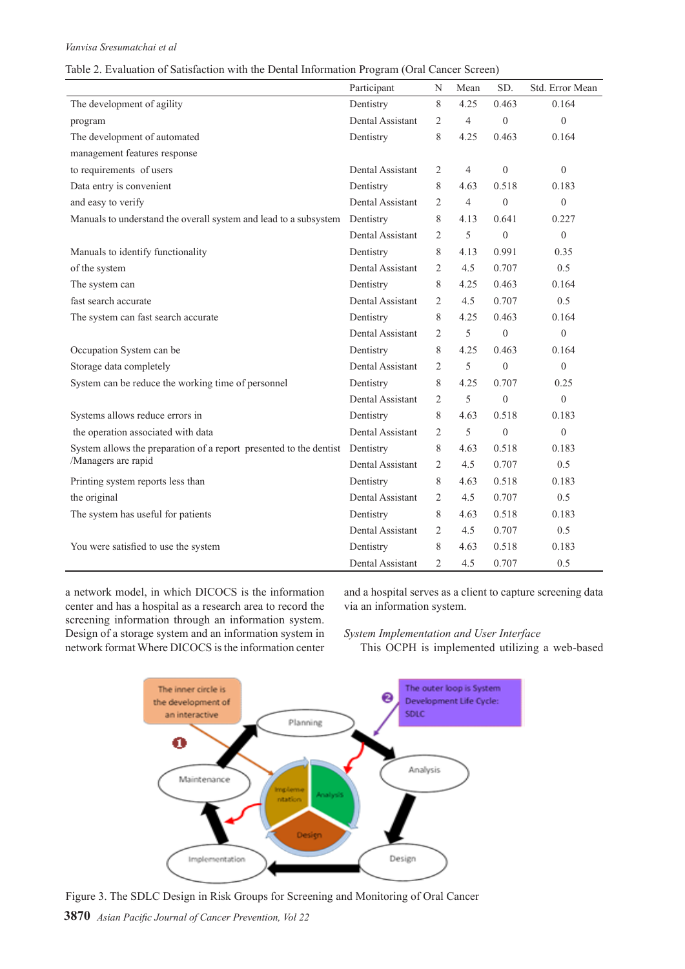#### Table 2. Evaluation of Satisfaction with the Dental Information Program (Oral Cancer Screen)

|                                                                              | Participant      | N              | Mean           | SD.          | Std. Error Mean |
|------------------------------------------------------------------------------|------------------|----------------|----------------|--------------|-----------------|
| The development of agility                                                   | Dentistry        | 8              | 4.25           | 0.463        | 0.164           |
| program                                                                      | Dental Assistant | $\overline{2}$ | $\overline{4}$ | $\theta$     | $\theta$        |
| The development of automated                                                 | Dentistry        | 8              | 4.25           | 0.463        | 0.164           |
| management features response                                                 |                  |                |                |              |                 |
| to requirements of users                                                     | Dental Assistant | 2              | $\overline{4}$ | $\theta$     | $\theta$        |
| Data entry is convenient                                                     | Dentistry        | 8              | 4.63           | 0.518        | 0.183           |
| and easy to verify                                                           | Dental Assistant | $\overline{c}$ | $\overline{4}$ | $\theta$     | $\theta$        |
| Manuals to understand the overall system and lead to a subsystem             | Dentistry        | 8              | 4.13           | 0.641        | 0.227           |
|                                                                              | Dental Assistant | 2              | 5              | $\theta$     | $\theta$        |
| Manuals to identify functionality                                            | Dentistry        | 8              | 4.13           | 0.991        | 0.35            |
| of the system                                                                | Dental Assistant | $\overline{c}$ | 4.5            | 0.707        | 0.5             |
| The system can                                                               | Dentistry        | 8              | 4.25           | 0.463        | 0.164           |
| fast search accurate                                                         | Dental Assistant | 2              | 4.5            | 0.707        | 0.5             |
| The system can fast search accurate                                          | Dentistry        | 8              | 4.25           | 0.463        | 0.164           |
|                                                                              | Dental Assistant | $\overline{2}$ | 5              | $\theta$     | $\overline{0}$  |
| Occupation System can be                                                     | Dentistry        | 8              | 4.25           | 0.463        | 0.164           |
| Storage data completely                                                      | Dental Assistant | $\overline{2}$ | 5              | $\theta$     | $\theta$        |
| System can be reduce the working time of personnel                           | Dentistry        | 8              | 4.25           | 0.707        | 0.25            |
|                                                                              | Dental Assistant | $\overline{c}$ | 5              | $\mathbf{0}$ | $\overline{0}$  |
| Systems allows reduce errors in                                              | Dentistry        | 8              | 4.63           | 0.518        | 0.183           |
| the operation associated with data                                           | Dental Assistant | 2              | 5              | $\theta$     | $\theta$        |
| System allows the preparation of a report presented to the dentist Dentistry |                  | 8              | 4.63           | 0.518        | 0.183           |
| /Managers are rapid                                                          | Dental Assistant | $\overline{c}$ | 4.5            | 0.707        | 0.5             |
| Printing system reports less than                                            | Dentistry        | 8              | 4.63           | 0.518        | 0.183           |
| the original                                                                 | Dental Assistant | $\overline{c}$ | 4.5            | 0.707        | 0.5             |
| The system has useful for patients                                           | Dentistry        | 8              | 4.63           | 0.518        | 0.183           |
|                                                                              | Dental Assistant | $\mathfrak{D}$ | 4.5            | 0.707        | 0.5             |
| You were satisfied to use the system                                         | Dentistry        | 8              | 4.63           | 0.518        | 0.183           |
|                                                                              | Dental Assistant | $\overline{2}$ | 4.5            | 0.707        | 0.5             |

a network model, in which DICOCS is the information center and has a hospital as a research area to record the screening information through an information system. Design of a storage system and an information system in network format Where DICOCS is the information center

and a hospital serves as a client to capture screening data via an information system.

### *System Implementation and User Interface*

This OCPH is implemented utilizing a web-based



Figure 3. The SDLC Design in Risk Groups for Screening and Monitoring of Oral Cancer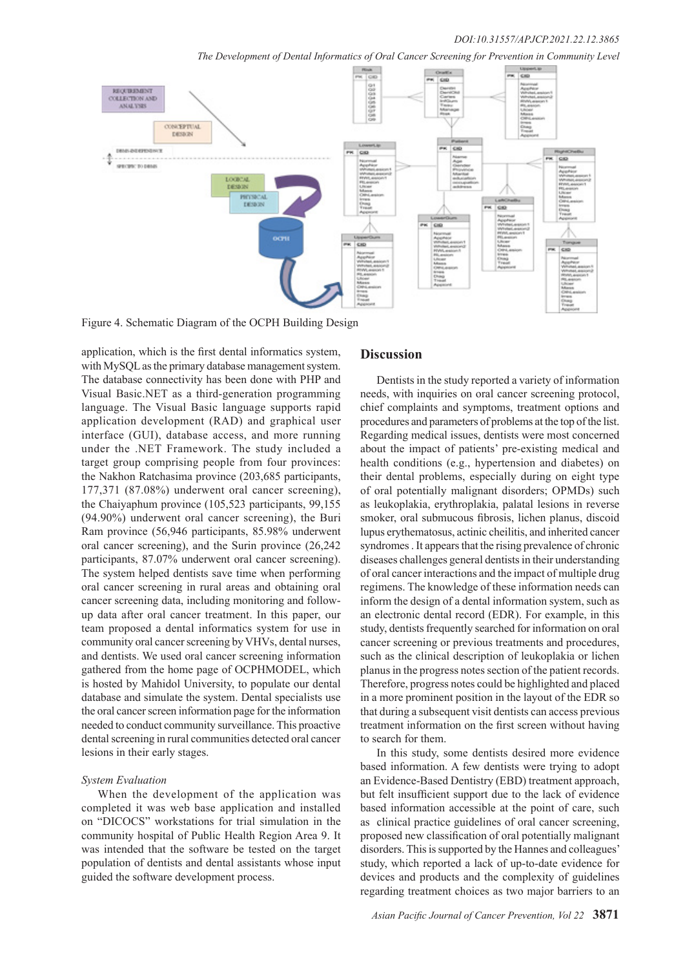*The Development of Dental Informatics of Oral Cancer Screening for Prevention in Community Level*



Figure 4. Schematic Diagram of the OCPH Building Design

application, which is the first dental informatics system, with MySQL as the primary database management system. The database connectivity has been done with PHP and Visual Basic.NET as a third-generation programming language. The Visual Basic language supports rapid application development (RAD) and graphical user interface (GUI), database access, and more running under the .NET Framework. The study included a target group comprising people from four provinces: the Nakhon Ratchasima province (203,685 participants, 177,371 (87.08%) underwent oral cancer screening), the Chaiyaphum province (105,523 participants, 99,155 (94.90%) underwent oral cancer screening), the Buri Ram province (56,946 participants, 85.98% underwent oral cancer screening), and the Surin province (26,242 participants, 87.07% underwent oral cancer screening). The system helped dentists save time when performing oral cancer screening in rural areas and obtaining oral cancer screening data, including monitoring and followup data after oral cancer treatment. In this paper, our team proposed a dental informatics system for use in community oral cancer screening by VHVs, dental nurses, and dentists. We used oral cancer screening information gathered from the home page of OCPHMODEL, which is hosted by Mahidol University, to populate our dental database and simulate the system. Dental specialists use the oral cancer screen information page for the information needed to conduct community surveillance. This proactive dental screening in rural communities detected oral cancer lesions in their early stages.

#### *System Evaluation*

When the development of the application was completed it was web base application and installed on "DICOCS" workstations for trial simulation in the community hospital of Public Health Region Area 9. It was intended that the software be tested on the target population of dentists and dental assistants whose input guided the software development process.

## **Discussion**

Dentists in the study reported a variety of information needs, with inquiries on oral cancer screening protocol, chief complaints and symptoms, treatment options and procedures and parameters of problems at the top of the list. Regarding medical issues, dentists were most concerned about the impact of patients' pre-existing medical and health conditions (e.g., hypertension and diabetes) on their dental problems, especially during on eight type of oral potentially malignant disorders; OPMDs) such as leukoplakia, erythroplakia, palatal lesions in reverse smoker, oral submucous fibrosis, lichen planus, discoid lupus erythematosus, actinic cheilitis, and inherited cancer syndromes . It appears that the rising prevalence of chronic diseases challenges general dentists in their understanding of oral cancer interactions and the impact of multiple drug regimens. The knowledge of these information needs can inform the design of a dental information system, such as an electronic dental record (EDR). For example, in this study, dentists frequently searched for information on oral cancer screening or previous treatments and procedures, such as the clinical description of leukoplakia or lichen planus in the progress notes section of the patient records. Therefore, progress notes could be highlighted and placed in a more prominent position in the layout of the EDR so that during a subsequent visit dentists can access previous treatment information on the first screen without having to search for them.

In this study, some dentists desired more evidence based information. A few dentists were trying to adopt an Evidence-Based Dentistry (EBD) treatment approach, but felt insufficient support due to the lack of evidence based information accessible at the point of care, such as clinical practice guidelines of oral cancer screening, proposed new classification of oral potentially malignant disorders. This is supported by the Hannes and colleagues' study, which reported a lack of up-to-date evidence for devices and products and the complexity of guidelines regarding treatment choices as two major barriers to an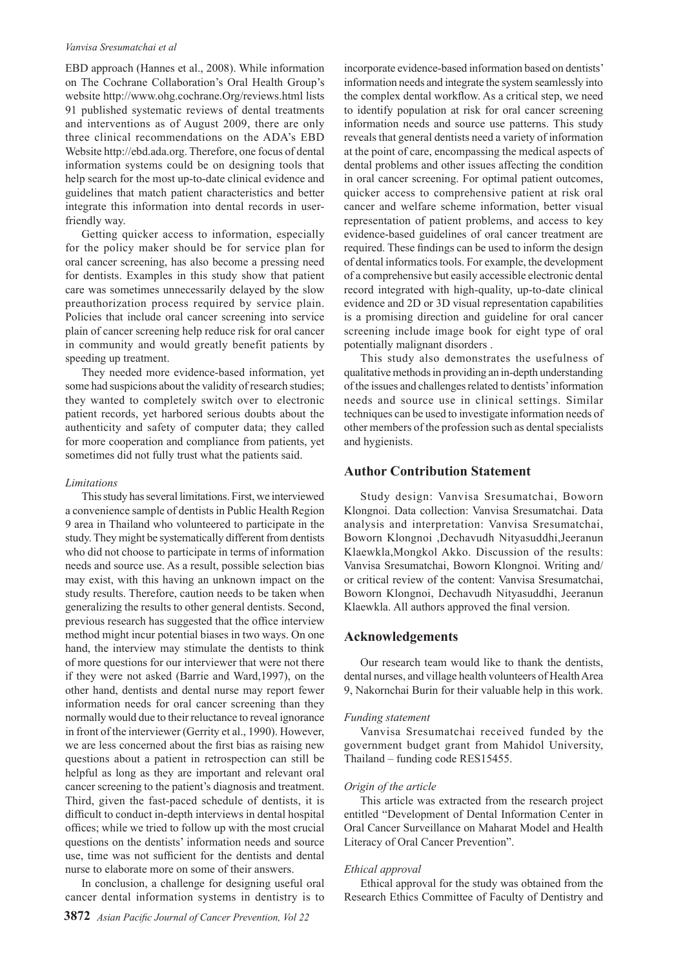#### *Vanvisa Sresumatchai et al*

EBD approach (Hannes et al., 2008). While information on The Cochrane Collaboration's Oral Health Group's website http://www.ohg.cochrane.Org/reviews.html lists 91 published systematic reviews of dental treatments and interventions as of August 2009, there are only three clinical recommendations on the ADA's EBD Website http://ebd.ada.org. Therefore, one focus of dental information systems could be on designing tools that help search for the most up-to-date clinical evidence and guidelines that match patient characteristics and better integrate this information into dental records in userfriendly way.

Getting quicker access to information, especially for the policy maker should be for service plan for oral cancer screening, has also become a pressing need for dentists. Examples in this study show that patient care was sometimes unnecessarily delayed by the slow preauthorization process required by service plain. Policies that include oral cancer screening into service plain of cancer screening help reduce risk for oral cancer in community and would greatly benefit patients by speeding up treatment.

They needed more evidence-based information, yet some had suspicions about the validity of research studies; they wanted to completely switch over to electronic patient records, yet harbored serious doubts about the authenticity and safety of computer data; they called for more cooperation and compliance from patients, yet sometimes did not fully trust what the patients said.

#### *Limitations*

This study has several limitations. First, we interviewed a convenience sample of dentists in Public Health Region 9 area in Thailand who volunteered to participate in the study. They might be systematically different from dentists who did not choose to participate in terms of information needs and source use. As a result, possible selection bias may exist, with this having an unknown impact on the study results. Therefore, caution needs to be taken when generalizing the results to other general dentists. Second, previous research has suggested that the office interview method might incur potential biases in two ways. On one hand, the interview may stimulate the dentists to think of more questions for our interviewer that were not there if they were not asked (Barrie and Ward,1997), on the other hand, dentists and dental nurse may report fewer information needs for oral cancer screening than they normally would due to their reluctance to reveal ignorance in front of the interviewer (Gerrity et al., 1990). However, we are less concerned about the first bias as raising new questions about a patient in retrospection can still be helpful as long as they are important and relevant oral cancer screening to the patient's diagnosis and treatment. Third, given the fast-paced schedule of dentists, it is difficult to conduct in-depth interviews in dental hospital offices; while we tried to follow up with the most crucial questions on the dentists' information needs and source use, time was not sufficient for the dentists and dental nurse to elaborate more on some of their answers.

In conclusion, a challenge for designing useful oral cancer dental information systems in dentistry is to

incorporate evidence-based information based on dentists' information needs and integrate the system seamlessly into the complex dental workflow. As a critical step, we need to identify population at risk for oral cancer screening information needs and source use patterns. This study reveals that general dentists need a variety of information at the point of care, encompassing the medical aspects of dental problems and other issues affecting the condition in oral cancer screening. For optimal patient outcomes, quicker access to comprehensive patient at risk oral cancer and welfare scheme information, better visual representation of patient problems, and access to key evidence-based guidelines of oral cancer treatment are required. These findings can be used to inform the design of dental informatics tools. For example, the development of a comprehensive but easily accessible electronic dental record integrated with high-quality, up-to-date clinical evidence and 2D or 3D visual representation capabilities is a promising direction and guideline for oral cancer screening include image book for eight type of oral potentially malignant disorders .

This study also demonstrates the usefulness of qualitative methods in providing an in-depth understanding of the issues and challenges related to dentists' information needs and source use in clinical settings. Similar techniques can be used to investigate information needs of other members of the profession such as dental specialists and hygienists.

# **Author Contribution Statement**

Study design: Vanvisa Sresumatchai, Boworn Klongnoi. Data collection: Vanvisa Sresumatchai. Data analysis and interpretation: Vanvisa Sresumatchai, Boworn Klongnoi ,Dechavudh Nityasuddhi,Jeeranun Klaewkla,Mongkol Akko. Discussion of the results: Vanvisa Sresumatchai, Boworn Klongnoi. Writing and/ or critical review of the content: Vanvisa Sresumatchai, Boworn Klongnoi, Dechavudh Nityasuddhi, Jeeranun Klaewkla. All authors approved the final version.

#### **Acknowledgements**

Our research team would like to thank the dentists, dental nurses, and village health volunteers of Health Area 9, Nakornchai Burin for their valuable help in this work.

#### *Funding statement*

Vanvisa Sresumatchai received funded by the government budget grant from Mahidol University, Thailand – funding code RES15455.

#### *Origin of the article*

This article was extracted from the research project entitled "Development of Dental Information Center in Oral Cancer Surveillance on Maharat Model and Health Literacy of Oral Cancer Prevention".

#### *Ethical approval*

Ethical approval for the study was obtained from the Research Ethics Committee of Faculty of Dentistry and